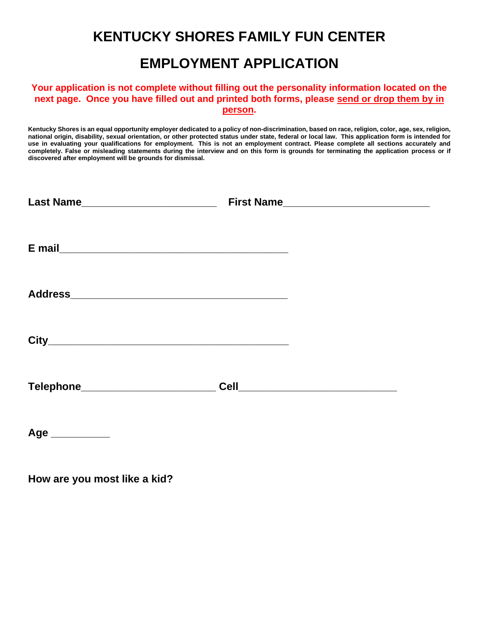## **KENTUCKY SHORES FAMILY FUN CENTER**

## **EMPLOYMENT APPLICATION**

## **Your application is not complete without filling out the personality information located on the next page. Once you have filled out and printed both forms, please send or drop them by in person.**

**Kentucky Shores is an equal opportunity employer dedicated to a policy of non-discrimination, based on race, religion, color, age, sex, religion, national origin, disability, sexual orientation, or other protected status under state, federal or local law. This application form is intended for use in evaluating your qualifications for employment. This is not an employment contract. Please complete all sections accurately and completely. False or misleading statements during the interview and on this form is grounds for terminating the application process or if discovered after employment will be grounds for dismissal.**

| Last Name___________________________ |  |
|--------------------------------------|--|
|                                      |  |
|                                      |  |
|                                      |  |
|                                      |  |
| Age                                  |  |

**How are you most like a kid?**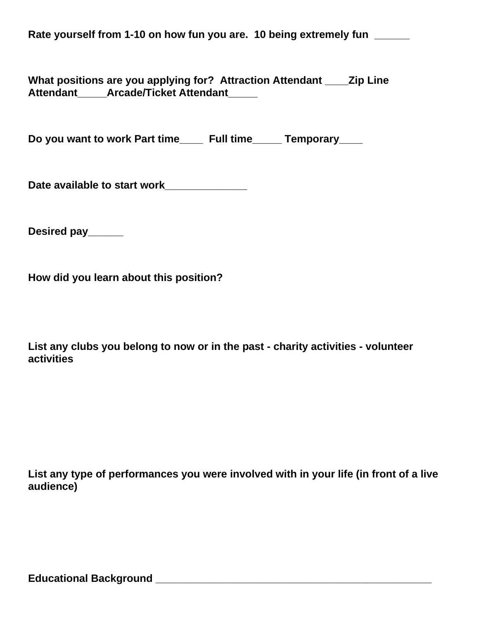Rate yourself from 1-10 on how fun you are. 10 being extremely fun

**What positions are you applying for? Attraction Attendant \_\_\_\_Zip Line Attendant\_\_\_\_\_Arcade/Ticket Attendant\_\_\_\_\_**

Do you want to work Part time **Full time** Temporary

**Date available to start work\_\_\_\_\_\_\_\_\_\_\_\_\_\_**

**Desired pay\_\_\_\_\_\_**

**How did you learn about this position?**

**List any clubs you belong to now or in the past - charity activities - volunteer activities**

**List any type of performances you were involved with in your life (in front of a live audience)**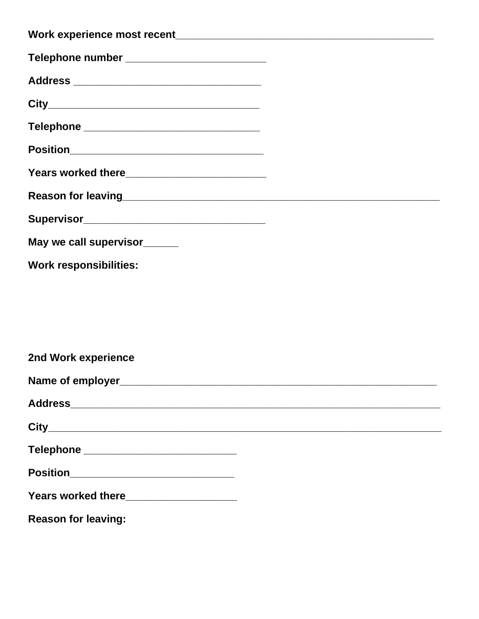| Telephone number ____________________________ |  |
|-----------------------------------------------|--|
|                                               |  |
|                                               |  |
| Telephone __________________________________  |  |
|                                               |  |
|                                               |  |
|                                               |  |
|                                               |  |
| May we call supervisor______                  |  |
| <b>Work responsibilities:</b>                 |  |
|                                               |  |
|                                               |  |
|                                               |  |
| 2nd Work experience                           |  |
|                                               |  |
|                                               |  |
|                                               |  |
| Telephone ___________________________         |  |
| Position_________________________________     |  |
| Years worked there_____________________       |  |
| <b>Reason for leaving:</b>                    |  |